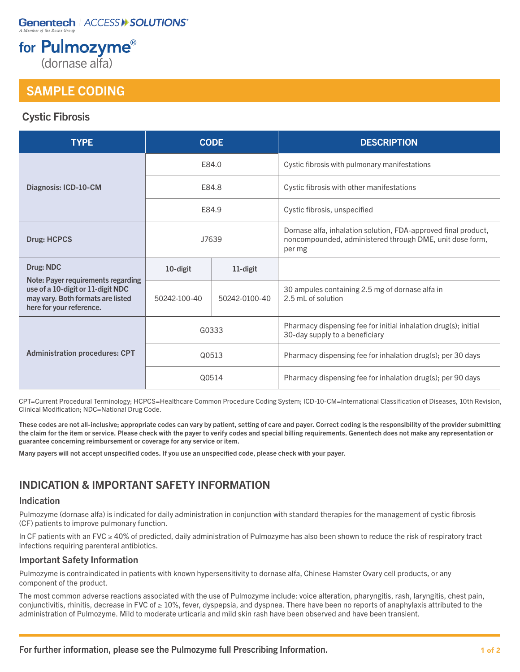## **Genentech | ACCESS II SOLUTIONS**

# for Pulmozyme®

(dornase alfa)

## SAMPLE CODING

## Cystic Fibrosis

| <b>TYPE</b>                                                                                                                              | <b>CODE</b>  |               | <b>DESCRIPTION</b>                                                                                                                   |
|------------------------------------------------------------------------------------------------------------------------------------------|--------------|---------------|--------------------------------------------------------------------------------------------------------------------------------------|
| Diagnosis: ICD-10-CM                                                                                                                     | E84.0        |               | Cystic fibrosis with pulmonary manifestations                                                                                        |
|                                                                                                                                          | E84.8        |               | Cystic fibrosis with other manifestations                                                                                            |
|                                                                                                                                          | E84.9        |               | Cystic fibrosis, unspecified                                                                                                         |
| <b>Drug: HCPCS</b>                                                                                                                       | J7639        |               | Dornase alfa, inhalation solution, FDA-approved final product,<br>noncompounded, administered through DME, unit dose form,<br>per mg |
| Drug: NDC                                                                                                                                | 10-digit     | 11-digit      |                                                                                                                                      |
| Note: Payer requirements regarding<br>use of a 10-digit or 11-digit NDC<br>may vary. Both formats are listed<br>here for your reference. | 50242-100-40 | 50242-0100-40 | 30 ampules containing 2.5 mg of dornase alfa in<br>2.5 mL of solution                                                                |
| <b>Administration procedures: CPT</b>                                                                                                    | G0333        |               | Pharmacy dispensing fee for initial inhalation drug(s); initial<br>30-day supply to a beneficiary                                    |
|                                                                                                                                          | Q0513        |               | Pharmacy dispensing fee for inhalation drug(s); per 30 days                                                                          |
|                                                                                                                                          | Q0514        |               | Pharmacy dispensing fee for inhalation drug(s); per 90 days                                                                          |

CPT=Current Procedural Terminology; HCPCS=Healthcare Common Procedure Coding System; ICD-10-CM=International Classification of Diseases, 10th Revision, Clinical Modification; NDC=National Drug Code.

These codes are not all-inclusive; appropriate codes can vary by patient, setting of care and payer. Correct coding is the responsibility of the provider submitting the claim for the item or service. Please check with the payer to verify codes and special billing requirements. Genentech does not make any representation or guarantee concerning reimbursement or coverage for any service or item.

Many payers will not accept unspecified codes. If you use an unspecified code, please check with your payer.

## INDICATION & IMPORTANT SAFETY INFORMATION

#### Indication

Pulmozyme (dornase alfa) is indicated for daily administration in conjunction with standard therapies for the management of cystic fibrosis (CF) patients to improve pulmonary function.

In CF patients with an FVC ≥ 40% of predicted, daily administration of Pulmozyme has also been shown to reduce the risk of respiratory tract infections requiring parenteral antibiotics.

#### Important Safety Information

Pulmozyme is contraindicated in patients with known hypersensitivity to dornase alfa, Chinese Hamster Ovary cell products, or any component of the product.

The most common adverse reactions associated with the use of Pulmozyme include: voice alteration, pharyngitis, rash, laryngitis, chest pain, conjunctivitis, rhinitis, decrease in FVC of  $\geq 10\%$ , fever, dyspepsia, and dyspnea. There have been no reports of anaphylaxis attributed to the administration of Pulmozyme. Mild to moderate urticaria and mild skin rash have been observed and have been transient.